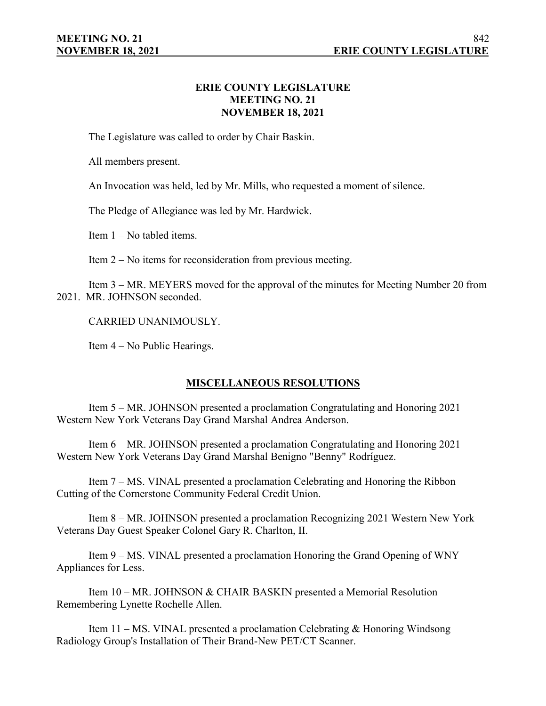# **ERIE COUNTY LEGISLATURE MEETING NO. 21 NOVEMBER 18, 2021**

The Legislature was called to order by Chair Baskin.

All members present.

An Invocation was held, led by Mr. Mills, who requested a moment of silence.

The Pledge of Allegiance was led by Mr. Hardwick.

Item 1 – No tabled items.

Item 2 – No items for reconsideration from previous meeting.

Item 3 – MR. MEYERS moved for the approval of the minutes for Meeting Number 20 from 2021. MR. JOHNSON seconded.

CARRIED UNANIMOUSLY.

Item 4 – No Public Hearings.

# **MISCELLANEOUS RESOLUTIONS**

Item 5 – MR. JOHNSON presented a proclamation Congratulating and Honoring 2021 Western New York Veterans Day Grand Marshal Andrea Anderson.

Item 6 – MR. JOHNSON presented a proclamation Congratulating and Honoring 2021 Western New York Veterans Day Grand Marshal Benigno "Benny" Rodríguez.

Item 7 – MS. VINAL presented a proclamation Celebrating and Honoring the Ribbon Cutting of the Cornerstone Community Federal Credit Union.

Item 8 – MR. JOHNSON presented a proclamation Recognizing 2021 Western New York Veterans Day Guest Speaker Colonel Gary R. Charlton, II.

Item 9 – MS. VINAL presented a proclamation Honoring the Grand Opening of WNY Appliances for Less.

Item 10 – MR. JOHNSON & CHAIR BASKIN presented a Memorial Resolution Remembering Lynette Rochelle Allen.

Item 11 – MS. VINAL presented a proclamation Celebrating & Honoring Windsong Radiology Group's Installation of Their Brand-New PET/CT Scanner.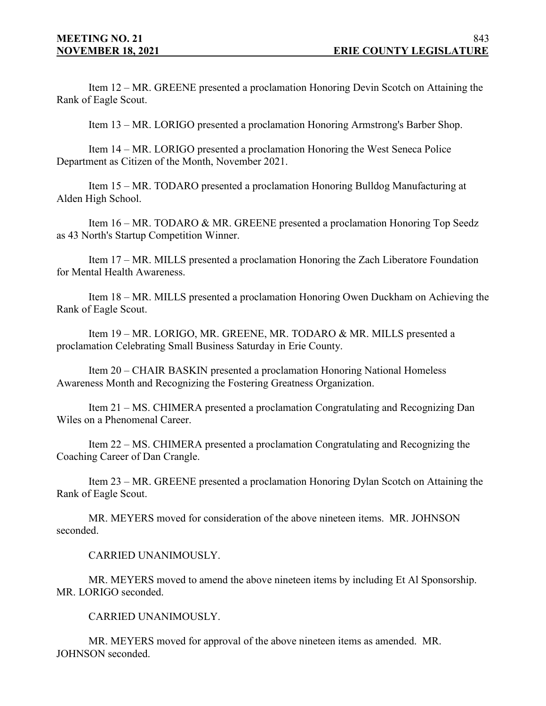Item 12 – MR. GREENE presented a proclamation Honoring Devin Scotch on Attaining the Rank of Eagle Scout.

Item 13 – MR. LORIGO presented a proclamation Honoring Armstrong's Barber Shop.

Item 14 – MR. LORIGO presented a proclamation Honoring the West Seneca Police Department as Citizen of the Month, November 2021.

Item 15 – MR. TODARO presented a proclamation Honoring Bulldog Manufacturing at Alden High School.

Item 16 – MR. TODARO & MR. GREENE presented a proclamation Honoring Top Seedz as 43 North's Startup Competition Winner.

Item 17 – MR. MILLS presented a proclamation Honoring the Zach Liberatore Foundation for Mental Health Awareness.

Item 18 – MR. MILLS presented a proclamation Honoring Owen Duckham on Achieving the Rank of Eagle Scout.

Item 19 – MR. LORIGO, MR. GREENE, MR. TODARO & MR. MILLS presented a proclamation Celebrating Small Business Saturday in Erie County.

Item 20 – CHAIR BASKIN presented a proclamation Honoring National Homeless Awareness Month and Recognizing the Fostering Greatness Organization.

Item 21 – MS. CHIMERA presented a proclamation Congratulating and Recognizing Dan Wiles on a Phenomenal Career.

Item 22 – MS. CHIMERA presented a proclamation Congratulating and Recognizing the Coaching Career of Dan Crangle.

Item 23 – MR. GREENE presented a proclamation Honoring Dylan Scotch on Attaining the Rank of Eagle Scout.

MR. MEYERS moved for consideration of the above nineteen items. MR. JOHNSON seconded.

CARRIED UNANIMOUSLY.

MR. MEYERS moved to amend the above nineteen items by including Et Al Sponsorship. MR. LORIGO seconded.

CARRIED UNANIMOUSLY.

MR. MEYERS moved for approval of the above nineteen items as amended. MR. JOHNSON seconded.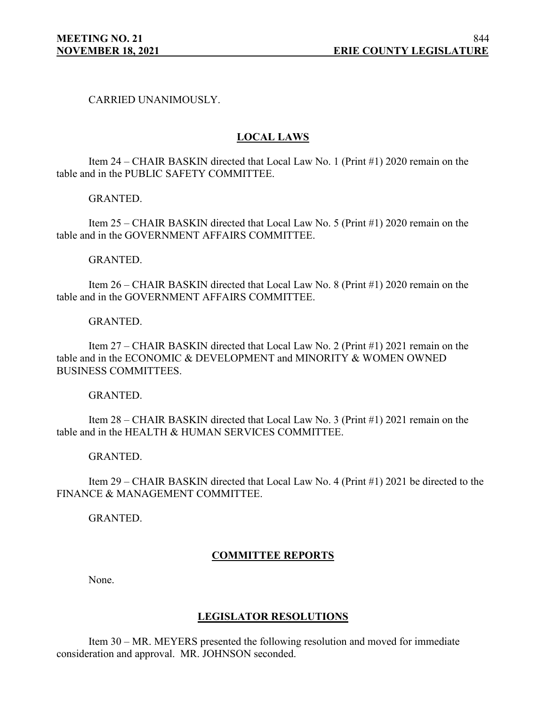## CARRIED UNANIMOUSLY.

# **LOCAL LAWS**

Item 24 – CHAIR BASKIN directed that Local Law No. 1 (Print #1) 2020 remain on the table and in the PUBLIC SAFETY COMMITTEE.

GRANTED.

Item 25 – CHAIR BASKIN directed that Local Law No. 5 (Print #1) 2020 remain on the table and in the GOVERNMENT AFFAIRS COMMITTEE.

GRANTED.

Item 26 – CHAIR BASKIN directed that Local Law No. 8 (Print #1) 2020 remain on the table and in the GOVERNMENT AFFAIRS COMMITTEE.

GRANTED.

Item 27 – CHAIR BASKIN directed that Local Law No. 2 (Print #1) 2021 remain on the table and in the ECONOMIC & DEVELOPMENT and MINORITY & WOMEN OWNED BUSINESS COMMITTEES.

GRANTED.

Item 28 – CHAIR BASKIN directed that Local Law No. 3 (Print #1) 2021 remain on the table and in the HEALTH & HUMAN SERVICES COMMITTEE.

GRANTED.

Item 29 – CHAIR BASKIN directed that Local Law No. 4 (Print #1) 2021 be directed to the FINANCE & MANAGEMENT COMMITTEE.

GRANTED.

# **COMMITTEE REPORTS**

None.

## **LEGISLATOR RESOLUTIONS**

Item 30 – MR. MEYERS presented the following resolution and moved for immediate consideration and approval. MR. JOHNSON seconded.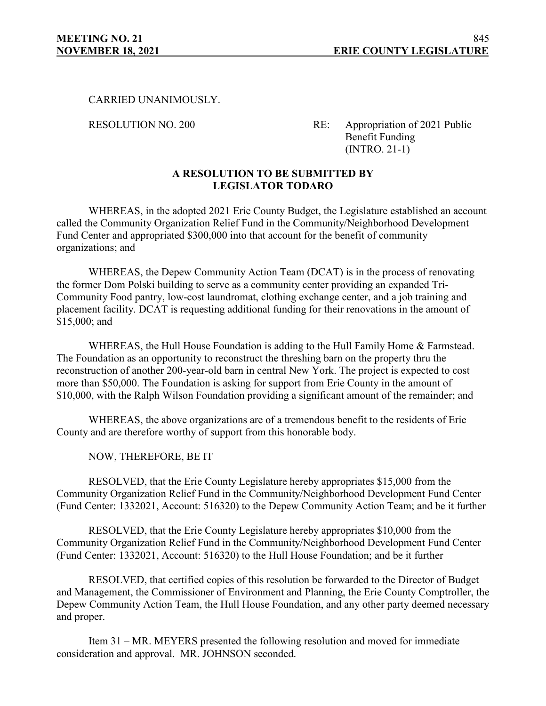## CARRIED UNANIMOUSLY.

RESOLUTION NO. 200 RE: Appropriation of 2021 Public Benefit Funding (INTRO. 21-1)

# **A RESOLUTION TO BE SUBMITTED BY LEGISLATOR TODARO**

WHEREAS, in the adopted 2021 Erie County Budget, the Legislature established an account called the Community Organization Relief Fund in the Community/Neighborhood Development Fund Center and appropriated \$300,000 into that account for the benefit of community organizations; and

WHEREAS, the Depew Community Action Team (DCAT) is in the process of renovating the former Dom Polski building to serve as a community center providing an expanded Tri-Community Food pantry, low-cost laundromat, clothing exchange center, and a job training and placement facility. DCAT is requesting additional funding for their renovations in the amount of \$15,000; and

WHEREAS, the Hull House Foundation is adding to the Hull Family Home & Farmstead. The Foundation as an opportunity to reconstruct the threshing barn on the property thru the reconstruction of another 200-year-old barn in central New York. The project is expected to cost more than \$50,000. The Foundation is asking for support from Erie County in the amount of \$10,000, with the Ralph Wilson Foundation providing a significant amount of the remainder; and

WHEREAS, the above organizations are of a tremendous benefit to the residents of Erie County and are therefore worthy of support from this honorable body.

NOW, THEREFORE, BE IT

RESOLVED, that the Erie County Legislature hereby appropriates \$15,000 from the Community Organization Relief Fund in the Community/Neighborhood Development Fund Center (Fund Center: 1332021, Account: 516320) to the Depew Community Action Team; and be it further

RESOLVED, that the Erie County Legislature hereby appropriates \$10,000 from the Community Organization Relief Fund in the Community/Neighborhood Development Fund Center (Fund Center: 1332021, Account: 516320) to the Hull House Foundation; and be it further

RESOLVED, that certified copies of this resolution be forwarded to the Director of Budget and Management, the Commissioner of Environment and Planning, the Erie County Comptroller, the Depew Community Action Team, the Hull House Foundation, and any other party deemed necessary and proper.

Item 31 – MR. MEYERS presented the following resolution and moved for immediate consideration and approval. MR. JOHNSON seconded.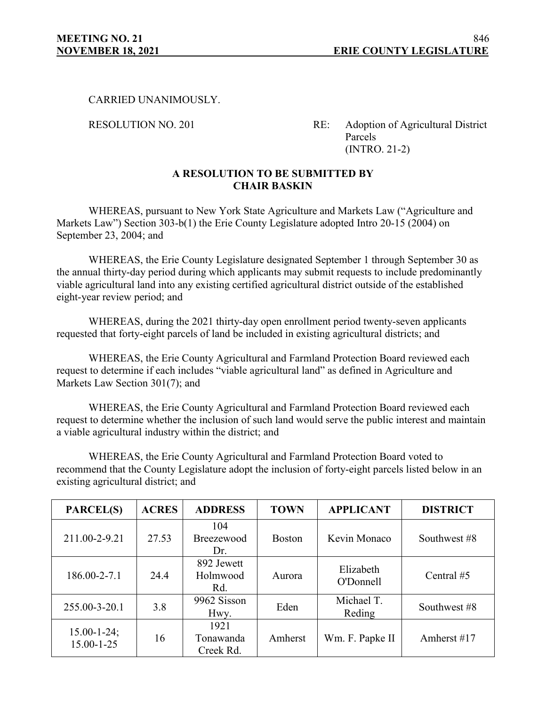## CARRIED UNANIMOUSLY.

RESOLUTION NO. 201 RE: Adoption of Agricultural District Parcels (INTRO. 21-2)

# **A RESOLUTION TO BE SUBMITTED BY CHAIR BASKIN**

WHEREAS, pursuant to New York State Agriculture and Markets Law ("Agriculture and Markets Law") Section 303-b(1) the Erie County Legislature adopted Intro 20-15 (2004) on September 23, 2004; and

WHEREAS, the Erie County Legislature designated September 1 through September 30 as the annual thirty-day period during which applicants may submit requests to include predominantly viable agricultural land into any existing certified agricultural district outside of the established eight-year review period; and

WHEREAS, during the 2021 thirty-day open enrollment period twenty-seven applicants requested that forty-eight parcels of land be included in existing agricultural districts; and

WHEREAS, the Erie County Agricultural and Farmland Protection Board reviewed each request to determine if each includes "viable agricultural land" as defined in Agriculture and Markets Law Section 301(7); and

WHEREAS, the Erie County Agricultural and Farmland Protection Board reviewed each request to determine whether the inclusion of such land would serve the public interest and maintain a viable agricultural industry within the district; and

WHEREAS, the Erie County Agricultural and Farmland Protection Board voted to recommend that the County Legislature adopt the inclusion of forty-eight parcels listed below in an existing agricultural district; and

| <b>PARCEL(S)</b>                       | <b>ACRES</b> | <b>ADDRESS</b>                 | <b>TOWN</b>   | <b>APPLICANT</b>     | <b>DISTRICT</b> |
|----------------------------------------|--------------|--------------------------------|---------------|----------------------|-----------------|
| 211.00-2-9.21                          | 27.53        | 104<br>Breezewood<br>Dr.       | <b>Boston</b> | Kevin Monaco         | Southwest #8    |
| 186.00-2-7.1                           | 24.4         | 892 Jewett<br>Holmwood<br>Rd.  | Aurora        |                      | Central #5      |
| 255.00-3-20.1                          | 3.8          | 9962 Sisson<br>Hwy.            | Eden          | Michael T.<br>Reding | Southwest #8    |
| $15.00 - 1 - 24$ ;<br>$15.00 - 1 - 25$ | 16           | 1921<br>Tonawanda<br>Creek Rd. | Amherst       | Wm. F. Papke II      | Amherst $#17$   |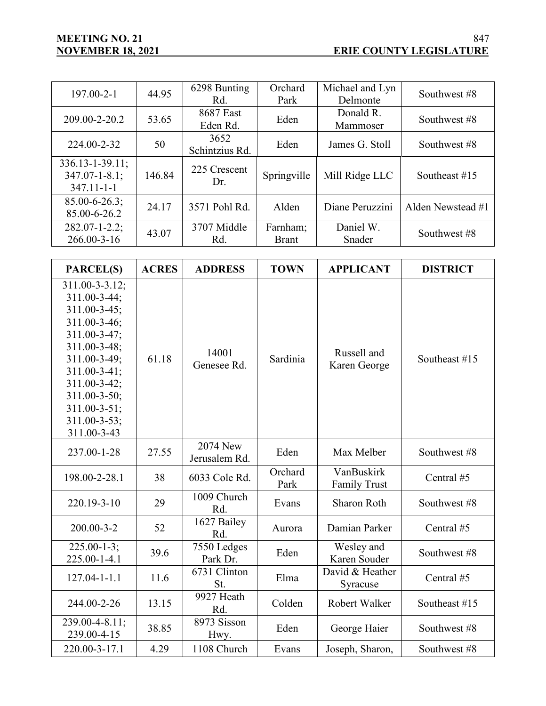| $197.00 - 2 - 1$                                                  | 44.95  | 6298 Bunting<br>Rd.    | Orchard<br>Park          | Michael and Lyn<br>Delmonte | Southwest #8      |
|-------------------------------------------------------------------|--------|------------------------|--------------------------|-----------------------------|-------------------|
| 209.00-2-20.2                                                     | 53.65  | 8687 East<br>Eden Rd.  | Eden                     | Donald R.<br>Mammoser       | Southwest #8      |
| 224.00-2-32                                                       | 50     | 3652<br>Schintzius Rd. | Eden                     | James G. Stoll              | Southwest #8      |
| $336.13 - 1 - 39.11$ ;<br>$347.07 - 1 - 8.1;$<br>$347.11 - 1 - 1$ | 146.84 | 225 Crescent<br>Dr.    | Springville              | Mill Ridge LLC              | Southeast $#15$   |
| $85.00 - 6 - 26.3;$<br>85.00-6-26.2                               | 24.17  | 3571 Pohl Rd.          | Alden                    | Diane Peruzzini             | Alden Newstead #1 |
| $282.07 - 1 - 2.2$ ;<br>$266.00 - 3 - 16$                         | 43.07  | 3707 Middle<br>Rd.     | Farnham;<br><b>Brant</b> | Daniel W.<br>Snader         | Southwest #8      |

| <b>PARCEL(S)</b>                                                                                                                                                                                              | <b>ACRES</b> | <b>ADDRESS</b>            | <b>TOWN</b>     | <b>APPLICANT</b>                  | <b>DISTRICT</b> |
|---------------------------------------------------------------------------------------------------------------------------------------------------------------------------------------------------------------|--------------|---------------------------|-----------------|-----------------------------------|-----------------|
| 311.00-3-3.12;<br>311.00-3-44;<br>311.00-3-45;<br>311.00-3-46;<br>311.00-3-47;<br>311.00-3-48;<br>311.00-3-49;<br>311.00-3-41;<br>311.00-3-42;<br>311.00-3-50;<br>311.00-3-51;<br>311.00-3-53;<br>311.00-3-43 | 61.18        | 14001<br>Genesee Rd.      | Sardinia        | Russell and<br>Karen George       | Southeast #15   |
| 237.00-1-28                                                                                                                                                                                                   | 27.55        | 2074 New<br>Jerusalem Rd. | Eden            | Max Melber                        | Southwest #8    |
| 198.00-2-28.1                                                                                                                                                                                                 | 38           | 6033 Cole Rd.             | Orchard<br>Park | VanBuskirk<br><b>Family Trust</b> | Central #5      |
| 220.19-3-10                                                                                                                                                                                                   | 29           | 1009 Church<br>Rd.        | Evans           | <b>Sharon Roth</b>                | Southwest #8    |
| 200.00-3-2                                                                                                                                                                                                    | 52           | 1627 Bailey<br>Rd.        | Aurora          | Damian Parker                     | Central #5      |
| $225.00 - 1 - 3$ ;<br>225.00-1-4.1                                                                                                                                                                            | 39.6         | 7550 Ledges<br>Park Dr.   | Eden            | Wesley and<br>Karen Souder        | Southwest #8    |
| $127.04 - 1 - 1.1$                                                                                                                                                                                            | 11.6         | 6731 Clinton<br>St.       | Elma            | David & Heather<br>Syracuse       | Central #5      |
| 244.00-2-26                                                                                                                                                                                                   | 13.15        | 9927 Heath<br>Rd.         | Colden          | Robert Walker                     | Southeast #15   |
| 239.00-4-8.11;<br>239.00-4-15                                                                                                                                                                                 | 38.85        | 8973 Sisson<br>Hwy.       | Eden            | George Haier                      | Southwest #8    |
| 220.00-3-17.1                                                                                                                                                                                                 | 4.29         | 1108 Church               | Evans           | Joseph, Sharon,                   | Southwest #8    |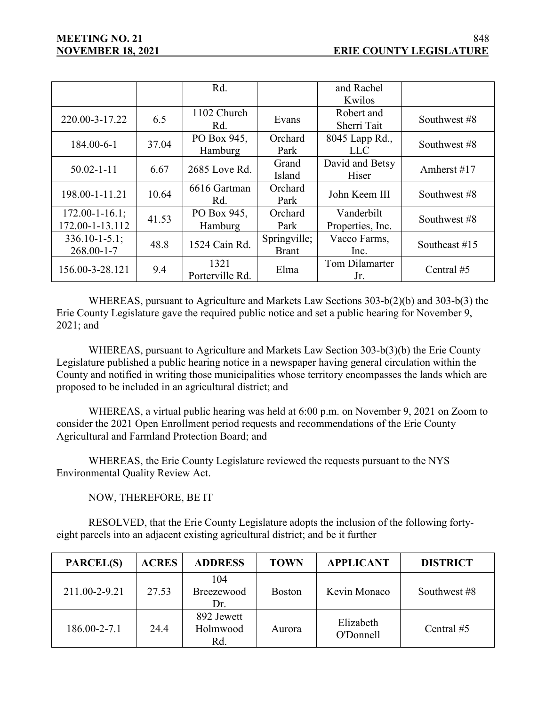|                       |       | Rd.             |              | and Rachel       |                 |  |
|-----------------------|-------|-----------------|--------------|------------------|-----------------|--|
|                       |       |                 |              | Kwilos           |                 |  |
| 220.00-3-17.22        | 6.5   | 1102 Church     | Evans        | Robert and       | Southwest #8    |  |
|                       |       | Rd.             |              | Sherri Tait      |                 |  |
| 184.00-6-1            | 37.04 | PO Box 945,     | Orchard      | 8045 Lapp Rd.,   |                 |  |
|                       |       | Hamburg         | Park         | LLC              | Southwest #8    |  |
| $50.02 - 1 - 11$      | 6.67  | 2685 Love Rd.   |              | David and Betsy  | Amherst #17     |  |
|                       |       |                 | Island       | Hiser            |                 |  |
|                       | 10.64 | 6616 Gartman    | Orchard      | John Keem III    | Southwest #8    |  |
| 198.00-1-11.21        |       | Rd.             | Park         |                  |                 |  |
| $172.00 - 1 - 16.1$ ; | 41.53 | PO Box 945,     | Orchard      | Vanderbilt       |                 |  |
| 172.00-1-13.112       |       | Hamburg         | Park         | Properties, Inc. | Southwest #8    |  |
| $336.10 - 1 - 5.1$ ;  | 48.8  | 1524 Cain Rd.   | Springville; | Vacco Farms,     | Southeast $#15$ |  |
| $268.00 - 1 - 7$      |       |                 | <b>Brant</b> | Inc.             |                 |  |
| 156.00-3-28.121       | 9.4   | 1321            | Elma         | Tom Dilamarter   | Central #5      |  |
|                       |       | Porterville Rd. |              | Jr.              |                 |  |

WHEREAS, pursuant to Agriculture and Markets Law Sections 303-b(2)(b) and 303-b(3) the Erie County Legislature gave the required public notice and set a public hearing for November 9, 2021; and

WHEREAS, pursuant to Agriculture and Markets Law Section 303-b(3)(b) the Erie County Legislature published a public hearing notice in a newspaper having general circulation within the County and notified in writing those municipalities whose territory encompasses the lands which are proposed to be included in an agricultural district; and

WHEREAS, a virtual public hearing was held at 6:00 p.m. on November 9, 2021 on Zoom to consider the 2021 Open Enrollment period requests and recommendations of the Erie County Agricultural and Farmland Protection Board; and

WHEREAS, the Erie County Legislature reviewed the requests pursuant to the NYS Environmental Quality Review Act.

NOW, THEREFORE, BE IT

RESOLVED, that the Erie County Legislature adopts the inclusion of the following fortyeight parcels into an adjacent existing agricultural district; and be it further

| <b>PARCEL(S)</b> | <b>ACRES</b> | <b>ADDRESS</b>                | <b>TOWN</b>   | <b>APPLICANT</b>       | <b>DISTRICT</b> |
|------------------|--------------|-------------------------------|---------------|------------------------|-----------------|
| 211.00-2-9.21    | 27.53        | 104<br>Breezewood<br>Dr.      | <b>Boston</b> | Kevin Monaco           | Southwest #8    |
| 186.00-2-7.1     | 24.4         | 892 Jewett<br>Holmwood<br>Rd. | Aurora        | Elizabeth<br>O'Donnell | Central #5      |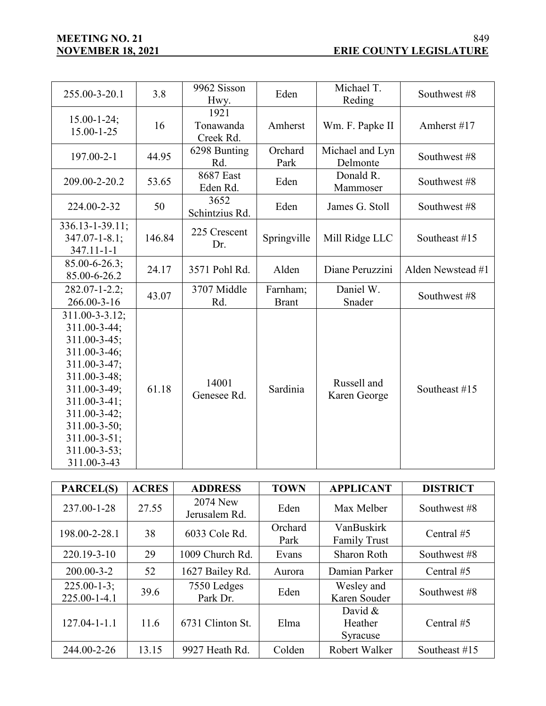| 255.00-3-20.1                                                                                                                                                                                                              | 3.8    | 9962 Sisson<br>Hwy.            | Eden                     | Michael T.<br>Reding        | Southwest #8      |
|----------------------------------------------------------------------------------------------------------------------------------------------------------------------------------------------------------------------------|--------|--------------------------------|--------------------------|-----------------------------|-------------------|
| $15.00 - 1 - 24$ ;<br>$15.00 - 1 - 25$                                                                                                                                                                                     | 16     | 1921<br>Tonawanda<br>Creek Rd. | Amherst                  | Wm. F. Papke II             | Amherst #17       |
| 197.00-2-1                                                                                                                                                                                                                 | 44.95  | 6298 Bunting<br>Rd.            | Orchard<br>Park          | Michael and Lyn<br>Delmonte | Southwest #8      |
| 209.00-2-20.2                                                                                                                                                                                                              | 53.65  | <b>8687 East</b><br>Eden Rd.   | Eden                     | Donald R.<br>Mammoser       | Southwest #8      |
| 224.00-2-32                                                                                                                                                                                                                | 50     | 3652<br>Schintzius Rd.         | Eden                     | James G. Stoll              | Southwest #8      |
| $336.13 - 1 - 39.11$ ;<br>$347.07 - 1 - 8.1;$<br>$347.11 - 1 - 1$                                                                                                                                                          | 146.84 | 225 Crescent<br>Dr.            | Springville              | Mill Ridge LLC              | Southeast #15     |
| $85.00 - 6 - 26.3;$<br>85.00-6-26.2                                                                                                                                                                                        | 24.17  | 3571 Pohl Rd.                  | Alden                    | Diane Peruzzini             | Alden Newstead #1 |
| $282.07 - 1 - 2.2$ ;<br>266.00-3-16                                                                                                                                                                                        | 43.07  | 3707 Middle<br>Rd.             | Farnham;<br><b>Brant</b> | Daniel W.<br>Snader         | Southwest #8      |
| 311.00-3-3.12;<br>311.00-3-44;<br>311.00-3-45;<br>311.00-3-46;<br>311.00-3-47;<br>311.00-3-48;<br>311.00-3-49;<br>311.00-3-41;<br>311.00-3-42;<br>311.00-3-50;<br>$311.00 - 3 - 51$ ;<br>$311.00 - 3 - 53;$<br>311.00-3-43 | 61.18  | 14001<br>Genesee Rd.           | Sardinia                 | Russell and<br>Karen George | Southeast #15     |

| PARCEL(S)                         | <b>ACRES</b> | <b>ADDRESS</b>            | <b>TOWN</b>     | <b>APPLICANT</b>                  | <b>DISTRICT</b> |
|-----------------------------------|--------------|---------------------------|-----------------|-----------------------------------|-----------------|
| 237.00-1-28                       | 27.55        | 2074 New<br>Jerusalem Rd. | Eden            | Max Melber                        | Southwest #8    |
| 198.00-2-28.1                     | 38           | 6033 Cole Rd.             | Orchard<br>Park | VanBuskirk<br><b>Family Trust</b> | Central $#5$    |
| 220.19-3-10                       | 29           | 1009 Church Rd.           | Evans           | <b>Sharon Roth</b>                | Southwest #8    |
| $200.00 - 3 - 2$                  | 52           | 1627 Bailey Rd.           | Aurora          | Damian Parker                     | Central #5      |
| $225.00 - 1 - 3;$<br>225.00-1-4.1 | 39.6         | 7550 Ledges<br>Park Dr.   | Eden            | Wesley and<br>Karen Souder        | Southwest #8    |
| $127.04 - 1 - 1.1$                | 11.6         | 6731 Clinton St.          | Elma            | David $&$<br>Heather<br>Syracuse  | Central $#5$    |
| 244.00-2-26                       | 13.15        | 9927 Heath Rd.            | Colden          | Robert Walker                     | Southeast $#15$ |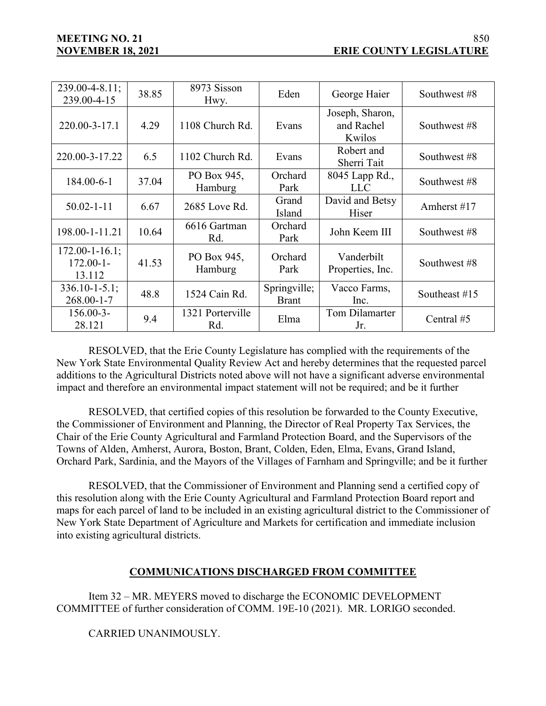| $239.00 - 4 - 8.11$ ;<br>239.00-4-15              | 38.85 | 8973 Sisson<br>Hwy.     | Eden                         | George Haier                            | Southwest #8  |
|---------------------------------------------------|-------|-------------------------|------------------------------|-----------------------------------------|---------------|
| 220.00-3-17.1                                     | 4.29  | 1108 Church Rd.         | Evans                        | Joseph, Sharon,<br>and Rachel<br>Kwilos | Southwest #8  |
| 220.00-3-17.22                                    | 6.5   | 1102 Church Rd.         | Evans                        | Robert and<br>Sherri Tait               | Southwest #8  |
| 184.00-6-1                                        | 37.04 | PO Box 945,<br>Hamburg  | Orchard<br>Park              | 8045 Lapp Rd.,<br><b>LLC</b>            | Southwest #8  |
| $50.02 - 1 - 11$                                  | 6.67  | 2685 Love Rd.           | Grand<br>Island              | David and Betsy<br>Hiser                | Amherst #17   |
| 198.00-1-11.21                                    | 10.64 | 6616 Gartman<br>Rd.     | Orchard<br>Park              | John Keem III                           | Southwest #8  |
| $172.00 - 1 - 16.1$ ;<br>$172.00 - 1 -$<br>13.112 | 41.53 | PO Box 945,<br>Hamburg  | Orchard<br>Park              | Vanderbilt<br>Properties, Inc.          | Southwest #8  |
| $336.10 - 1 - 5.1$ ;<br>$268.00 - 1 - 7$          | 48.8  | 1524 Cain Rd.           | Springville;<br><b>Brant</b> | Vacco Farms,<br>Inc.                    | Southeast #15 |
| 156.00-3-<br>28.121                               | 9.4   | 1321 Porterville<br>Rd. | Elma                         | Tom Dilamarter<br>Jr.                   | Central #5    |

RESOLVED, that the Erie County Legislature has complied with the requirements of the New York State Environmental Quality Review Act and hereby determines that the requested parcel additions to the Agricultural Districts noted above will not have a significant adverse environmental impact and therefore an environmental impact statement will not be required; and be it further

RESOLVED, that certified copies of this resolution be forwarded to the County Executive, the Commissioner of Environment and Planning, the Director of Real Property Tax Services, the Chair of the Erie County Agricultural and Farmland Protection Board, and the Supervisors of the Towns of Alden, Amherst, Aurora, Boston, Brant, Colden, Eden, Elma, Evans, Grand Island, Orchard Park, Sardinia, and the Mayors of the Villages of Farnham and Springville; and be it further

RESOLVED, that the Commissioner of Environment and Planning send a certified copy of this resolution along with the Erie County Agricultural and Farmland Protection Board report and maps for each parcel of land to be included in an existing agricultural district to the Commissioner of New York State Department of Agriculture and Markets for certification and immediate inclusion into existing agricultural districts.

# **COMMUNICATIONS DISCHARGED FROM COMMITTEE**

Item 32 – MR. MEYERS moved to discharge the ECONOMIC DEVELOPMENT COMMITTEE of further consideration of COMM. 19E-10 (2021). MR. LORIGO seconded.

CARRIED UNANIMOUSLY.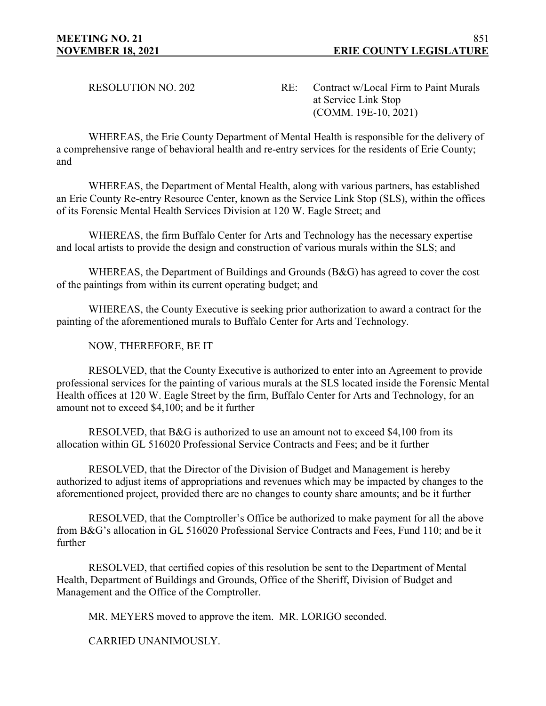RESOLUTION NO. 202 RE: Contract w/Local Firm to Paint Murals at Service Link Stop (COMM. 19E-10, 2021)

WHEREAS, the Erie County Department of Mental Health is responsible for the delivery of a comprehensive range of behavioral health and re-entry services for the residents of Erie County; and

WHEREAS, the Department of Mental Health, along with various partners, has established an Erie County Re-entry Resource Center, known as the Service Link Stop (SLS), within the offices of its Forensic Mental Health Services Division at 120 W. Eagle Street; and

WHEREAS, the firm Buffalo Center for Arts and Technology has the necessary expertise and local artists to provide the design and construction of various murals within the SLS; and

WHEREAS, the Department of Buildings and Grounds (B&G) has agreed to cover the cost of the paintings from within its current operating budget; and

WHEREAS, the County Executive is seeking prior authorization to award a contract for the painting of the aforementioned murals to Buffalo Center for Arts and Technology.

NOW, THEREFORE, BE IT

RESOLVED, that the County Executive is authorized to enter into an Agreement to provide professional services for the painting of various murals at the SLS located inside the Forensic Mental Health offices at 120 W. Eagle Street by the firm, Buffalo Center for Arts and Technology, for an amount not to exceed \$4,100; and be it further

RESOLVED, that B&G is authorized to use an amount not to exceed \$4,100 from its allocation within GL 516020 Professional Service Contracts and Fees; and be it further

RESOLVED, that the Director of the Division of Budget and Management is hereby authorized to adjust items of appropriations and revenues which may be impacted by changes to the aforementioned project, provided there are no changes to county share amounts; and be it further

RESOLVED, that the Comptroller's Office be authorized to make payment for all the above from B&G's allocation in GL 516020 Professional Service Contracts and Fees, Fund 110; and be it further

RESOLVED, that certified copies of this resolution be sent to the Department of Mental Health, Department of Buildings and Grounds, Office of the Sheriff, Division of Budget and Management and the Office of the Comptroller.

MR. MEYERS moved to approve the item. MR. LORIGO seconded.

CARRIED UNANIMOUSLY.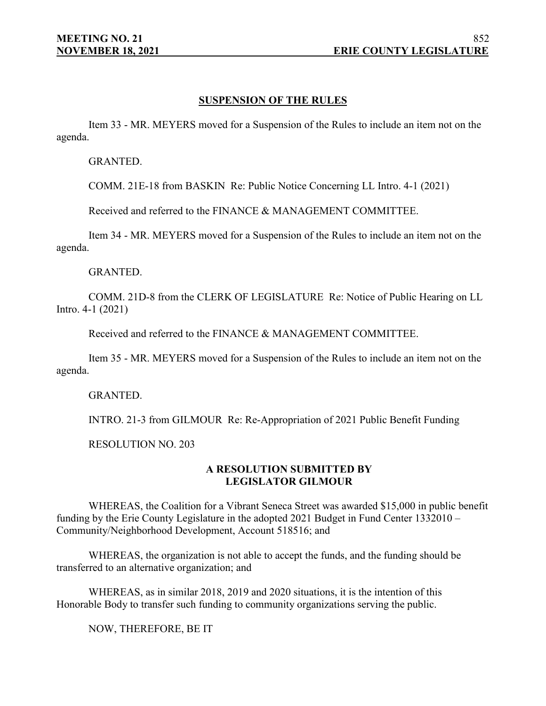#### **SUSPENSION OF THE RULES**

Item 33 - MR. MEYERS moved for a Suspension of the Rules to include an item not on the agenda.

GRANTED.

COMM. 21E-18 from BASKIN Re: Public Notice Concerning LL Intro. 4-1 (2021)

Received and referred to the FINANCE & MANAGEMENT COMMITTEE.

Item 34 - MR. MEYERS moved for a Suspension of the Rules to include an item not on the agenda.

GRANTED.

COMM. 21D-8 from the CLERK OF LEGISLATURE Re: Notice of Public Hearing on LL Intro. 4-1 (2021)

Received and referred to the FINANCE & MANAGEMENT COMMITTEE.

Item 35 - MR. MEYERS moved for a Suspension of the Rules to include an item not on the agenda.

GRANTED.

INTRO. 21-3 from GILMOUR Re: Re-Appropriation of 2021 Public Benefit Funding

RESOLUTION NO. 203

#### **A RESOLUTION SUBMITTED BY LEGISLATOR GILMOUR**

WHEREAS, the Coalition for a Vibrant Seneca Street was awarded \$15,000 in public benefit funding by the Erie County Legislature in the adopted 2021 Budget in Fund Center 1332010 – Community/Neighborhood Development, Account 518516; and

WHEREAS, the organization is not able to accept the funds, and the funding should be transferred to an alternative organization; and

WHEREAS, as in similar 2018, 2019 and 2020 situations, it is the intention of this Honorable Body to transfer such funding to community organizations serving the public.

NOW, THEREFORE, BE IT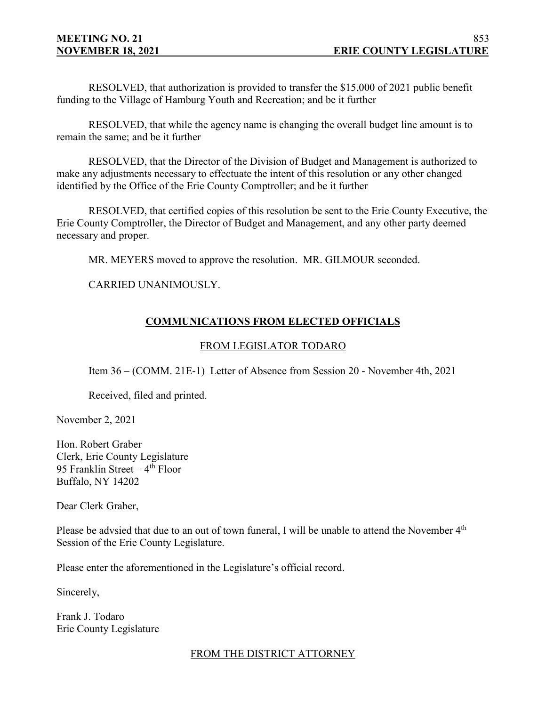RESOLVED, that authorization is provided to transfer the \$15,000 of 2021 public benefit funding to the Village of Hamburg Youth and Recreation; and be it further

RESOLVED, that while the agency name is changing the overall budget line amount is to remain the same; and be it further

RESOLVED, that the Director of the Division of Budget and Management is authorized to make any adjustments necessary to effectuate the intent of this resolution or any other changed identified by the Office of the Erie County Comptroller; and be it further

RESOLVED, that certified copies of this resolution be sent to the Erie County Executive, the Erie County Comptroller, the Director of Budget and Management, and any other party deemed necessary and proper.

MR. MEYERS moved to approve the resolution. MR. GILMOUR seconded.

CARRIED UNANIMOUSLY.

# **COMMUNICATIONS FROM ELECTED OFFICIALS**

# FROM LEGISLATOR TODARO

Item 36 – (COMM. 21E-1) Letter of Absence from Session 20 - November 4th, 2021

Received, filed and printed.

November 2, 2021

Hon. Robert Graber Clerk, Erie County Legislature 95 Franklin Street  $-4$ <sup>th</sup> Floor Buffalo, NY 14202

Dear Clerk Graber,

Please be advsied that due to an out of town funeral, I will be unable to attend the November  $4<sup>th</sup>$ Session of the Erie County Legislature.

Please enter the aforementioned in the Legislature's official record.

Sincerely,

Frank J. Todaro Erie County Legislature

# FROM THE DISTRICT ATTORNEY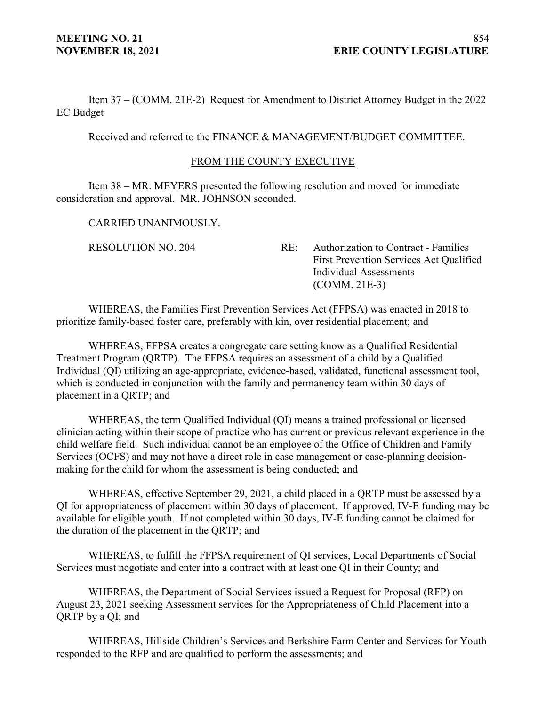Item 37 – (COMM. 21E-2) Request for Amendment to District Attorney Budget in the 2022 EC Budget

Received and referred to the FINANCE & MANAGEMENT/BUDGET COMMITTEE.

#### FROM THE COUNTY EXECUTIVE

Item 38 – MR. MEYERS presented the following resolution and moved for immediate consideration and approval. MR. JOHNSON seconded.

CARRIED UNANIMOUSLY.

RESOLUTION NO. 204 RE: Authorization to Contract - Families First Prevention Services Act Qualified Individual Assessments (COMM. 21E-3)

WHEREAS, the Families First Prevention Services Act (FFPSA) was enacted in 2018 to prioritize family-based foster care, preferably with kin, over residential placement; and

WHEREAS, FFPSA creates a congregate care setting know as a Qualified Residential Treatment Program (QRTP). The FFPSA requires an assessment of a child by a Qualified Individual (QI) utilizing an age-appropriate, evidence-based, validated, functional assessment tool, which is conducted in conjunction with the family and permanency team within 30 days of placement in a QRTP; and

WHEREAS, the term Qualified Individual (QI) means a trained professional or licensed clinician acting within their scope of practice who has current or previous relevant experience in the child welfare field. Such individual cannot be an employee of the Office of Children and Family Services (OCFS) and may not have a direct role in case management or case-planning decisionmaking for the child for whom the assessment is being conducted; and

WHEREAS, effective September 29, 2021, a child placed in a QRTP must be assessed by a QI for appropriateness of placement within 30 days of placement. If approved, IV-E funding may be available for eligible youth. If not completed within 30 days, IV-E funding cannot be claimed for the duration of the placement in the QRTP; and

WHEREAS, to fulfill the FFPSA requirement of QI services, Local Departments of Social Services must negotiate and enter into a contract with at least one QI in their County; and

WHEREAS, the Department of Social Services issued a Request for Proposal (RFP) on August 23, 2021 seeking Assessment services for the Appropriateness of Child Placement into a QRTP by a QI; and

WHEREAS, Hillside Children's Services and Berkshire Farm Center and Services for Youth responded to the RFP and are qualified to perform the assessments; and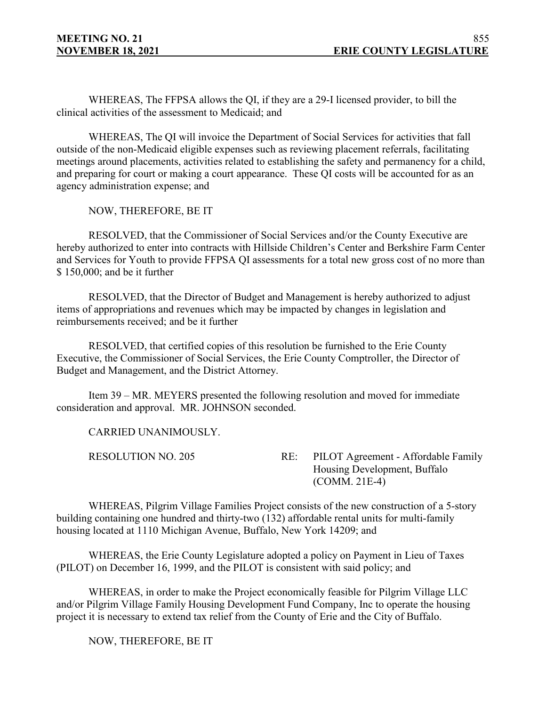WHEREAS, The FFPSA allows the QI, if they are a 29-I licensed provider, to bill the clinical activities of the assessment to Medicaid; and

WHEREAS, The QI will invoice the Department of Social Services for activities that fall outside of the non-Medicaid eligible expenses such as reviewing placement referrals, facilitating meetings around placements, activities related to establishing the safety and permanency for a child, and preparing for court or making a court appearance. These QI costs will be accounted for as an agency administration expense; and

NOW, THEREFORE, BE IT

RESOLVED, that the Commissioner of Social Services and/or the County Executive are hereby authorized to enter into contracts with Hillside Children's Center and Berkshire Farm Center and Services for Youth to provide FFPSA QI assessments for a total new gross cost of no more than \$ 150,000; and be it further

RESOLVED, that the Director of Budget and Management is hereby authorized to adjust items of appropriations and revenues which may be impacted by changes in legislation and reimbursements received; and be it further

RESOLVED, that certified copies of this resolution be furnished to the Erie County Executive, the Commissioner of Social Services, the Erie County Comptroller, the Director of Budget and Management, and the District Attorney.

Item 39 – MR. MEYERS presented the following resolution and moved for immediate consideration and approval. MR. JOHNSON seconded.

CARRIED UNANIMOUSLY.

RESOLUTION NO. 205 RE: PILOT Agreement - Affordable Family Housing Development, Buffalo (COMM. 21E-4)

WHEREAS, Pilgrim Village Families Project consists of the new construction of a 5-story building containing one hundred and thirty-two (132) affordable rental units for multi-family housing located at 1110 Michigan Avenue, Buffalo, New York 14209; and

WHEREAS, the Erie County Legislature adopted a policy on Payment in Lieu of Taxes (PILOT) on December 16, 1999, and the PILOT is consistent with said policy; and

WHEREAS, in order to make the Project economically feasible for Pilgrim Village LLC and/or Pilgrim Village Family Housing Development Fund Company, Inc to operate the housing project it is necessary to extend tax relief from the County of Erie and the City of Buffalo.

NOW, THEREFORE, BE IT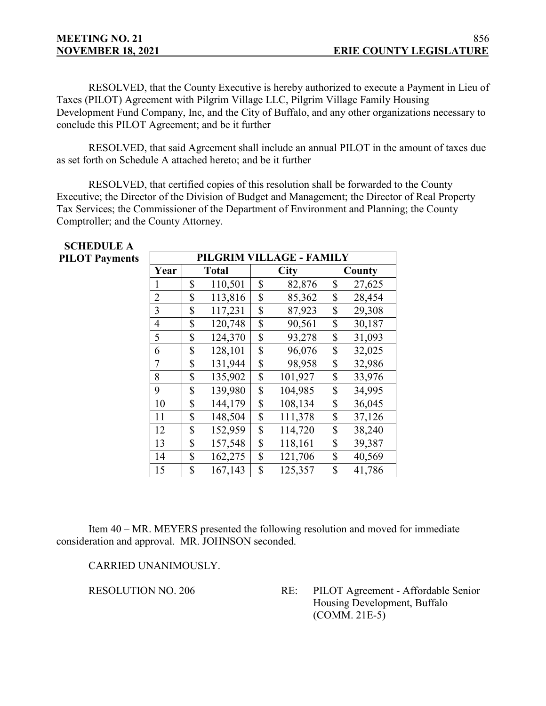# **MEETING NO. 21**

**SCHEDULE A**

RESOLVED, that the County Executive is hereby authorized to execute a Payment in Lieu of Taxes (PILOT) Agreement with Pilgrim Village LLC, Pilgrim Village Family Housing Development Fund Company, Inc, and the City of Buffalo, and any other organizations necessary to conclude this PILOT Agreement; and be it further

RESOLVED, that said Agreement shall include an annual PILOT in the amount of taxes due as set forth on Schedule A attached hereto; and be it further

RESOLVED, that certified copies of this resolution shall be forwarded to the County Executive; the Director of the Division of Budget and Management; the Director of Real Property Tax Services; the Commissioner of the Department of Environment and Planning; the County Comptroller; and the County Attorney.

| SCHEDULE A            |                |                          |              |             |         |    |        |  |  |  |
|-----------------------|----------------|--------------------------|--------------|-------------|---------|----|--------|--|--|--|
| <b>PILOT Payments</b> |                | PILGRIM VILLAGE - FAMILY |              |             |         |    |        |  |  |  |
|                       | Year           |                          | <b>Total</b> | <b>City</b> |         |    | County |  |  |  |
|                       | 1              | \$                       | 110,501      | \$          | 82,876  | \$ | 27,625 |  |  |  |
|                       | $\overline{2}$ | \$                       | 113,816      | \$          | 85,362  | \$ | 28,454 |  |  |  |
|                       | 3              | \$                       | 117,231      | \$          | 87,923  | \$ | 29,308 |  |  |  |
|                       | $\overline{4}$ | \$                       | 120,748      | \$          | 90,561  | \$ | 30,187 |  |  |  |
|                       | 5              | \$                       | 124,370      | \$          | 93,278  | \$ | 31,093 |  |  |  |
|                       | 6              | \$                       | 128,101      | \$          | 96,076  | \$ | 32,025 |  |  |  |
|                       | $\overline{7}$ | \$                       | 131,944      | \$          | 98,958  | \$ | 32,986 |  |  |  |
|                       | 8              | \$                       | 135,902      | \$          | 101,927 | \$ | 33,976 |  |  |  |
|                       | 9              | \$                       | 139,980      | \$          | 104,985 | \$ | 34,995 |  |  |  |
|                       | 10             | \$                       | 144,179      | \$          | 108,134 | \$ | 36,045 |  |  |  |
|                       | 11             | \$                       | 148,504      | \$          | 111,378 | \$ | 37,126 |  |  |  |
|                       | 12             | \$                       | 152,959      | \$          | 114,720 | \$ | 38,240 |  |  |  |
|                       | 13             | \$                       | 157,548      | \$          | 118,161 | \$ | 39,387 |  |  |  |
|                       | 14             | \$                       | 162,275      | \$          | 121,706 | \$ | 40,569 |  |  |  |
|                       | 15             | \$                       | 167,143      | \$          | 125,357 | \$ | 41,786 |  |  |  |

Item 40 – MR. MEYERS presented the following resolution and moved for immediate consideration and approval. MR. JOHNSON seconded.

CARRIED UNANIMOUSLY.

RESOLUTION NO. 206 RE: PILOT Agreement - Affordable Senior Housing Development, Buffalo (COMM. 21E-5)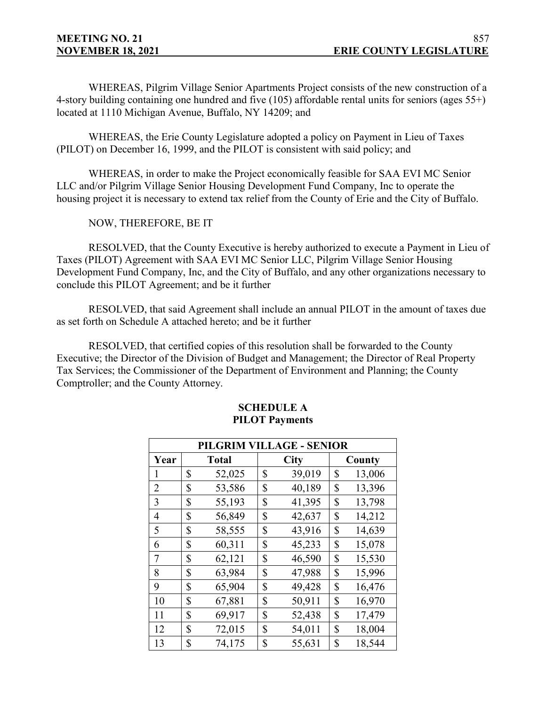WHEREAS, Pilgrim Village Senior Apartments Project consists of the new construction of a 4-story building containing one hundred and five (105) affordable rental units for seniors (ages 55+) located at 1110 Michigan Avenue, Buffalo, NY 14209; and

WHEREAS, the Erie County Legislature adopted a policy on Payment in Lieu of Taxes (PILOT) on December 16, 1999, and the PILOT is consistent with said policy; and

WHEREAS, in order to make the Project economically feasible for SAA EVI MC Senior LLC and/or Pilgrim Village Senior Housing Development Fund Company, Inc to operate the housing project it is necessary to extend tax relief from the County of Erie and the City of Buffalo.

NOW, THEREFORE, BE IT

RESOLVED, that the County Executive is hereby authorized to execute a Payment in Lieu of Taxes (PILOT) Agreement with SAA EVI MC Senior LLC, Pilgrim Village Senior Housing Development Fund Company, Inc, and the City of Buffalo, and any other organizations necessary to conclude this PILOT Agreement; and be it further

RESOLVED, that said Agreement shall include an annual PILOT in the amount of taxes due as set forth on Schedule A attached hereto; and be it further

RESOLVED, that certified copies of this resolution shall be forwarded to the County Executive; the Director of the Division of Budget and Management; the Director of Real Property Tax Services; the Commissioner of the Department of Environment and Planning; the County Comptroller; and the County Attorney.

| PILGRIM VILLAGE - SENIOR |    |              |    |             |    |        |  |  |  |
|--------------------------|----|--------------|----|-------------|----|--------|--|--|--|
| Year                     |    | <b>Total</b> |    | <b>City</b> |    | County |  |  |  |
| 1                        | \$ | 52,025       | \$ | 39,019      | \$ | 13,006 |  |  |  |
| 2                        | \$ | 53,586       | \$ | 40,189      | \$ | 13,396 |  |  |  |
| 3                        | \$ | 55,193       | \$ | 41,395      | \$ | 13,798 |  |  |  |
| 4                        | \$ | 56,849       | \$ | 42,637      | \$ | 14,212 |  |  |  |
| 5                        | \$ | 58,555       | \$ | 43,916      | \$ | 14,639 |  |  |  |
| 6                        | \$ | 60,311       | \$ | 45,233      | \$ | 15,078 |  |  |  |
| 7                        | \$ | 62,121       | \$ | 46,590      | \$ | 15,530 |  |  |  |
| 8                        | \$ | 63,984       | \$ | 47,988      | \$ | 15,996 |  |  |  |
| 9                        | \$ | 65,904       | \$ | 49,428      | \$ | 16,476 |  |  |  |
| 10                       | \$ | 67,881       | \$ | 50,911      | \$ | 16,970 |  |  |  |
| 11                       | \$ | 69,917       | \$ | 52,438      | \$ | 17,479 |  |  |  |
| 12                       | \$ | 72,015       | \$ | 54,011      | \$ | 18,004 |  |  |  |
| 13                       | \$ | 74,175       | \$ | 55,631      | \$ | 18,544 |  |  |  |

#### **SCHEDULE A PILOT Payments**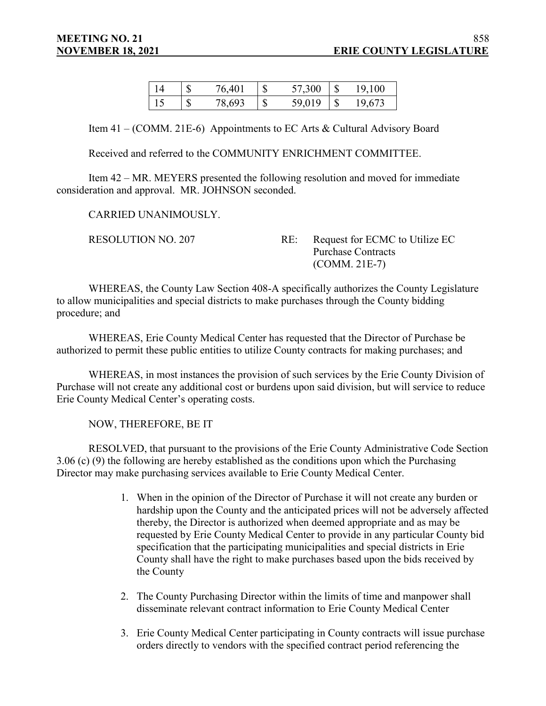| S            | 76,401 | 1 S | 57,300 | 19,100 |
|--------------|--------|-----|--------|--------|
| $\mathbb{S}$ | 78,693 | -\$ | 59,019 | 19,673 |

Item 41 – (COMM. 21E-6) Appointments to EC Arts & Cultural Advisory Board

Received and referred to the COMMUNITY ENRICHMENT COMMITTEE.

Item 42 – MR. MEYERS presented the following resolution and moved for immediate consideration and approval. MR. JOHNSON seconded.

CARRIED UNANIMOUSLY.

RESOLUTION NO. 207 RE: Request for ECMC to Utilize EC Purchase Contracts (COMM. 21E-7)

WHEREAS, the County Law Section 408-A specifically authorizes the County Legislature to allow municipalities and special districts to make purchases through the County bidding procedure; and

WHEREAS, Erie County Medical Center has requested that the Director of Purchase be authorized to permit these public entities to utilize County contracts for making purchases; and

WHEREAS, in most instances the provision of such services by the Erie County Division of Purchase will not create any additional cost or burdens upon said division, but will service to reduce Erie County Medical Center's operating costs.

NOW, THEREFORE, BE IT

RESOLVED, that pursuant to the provisions of the Erie County Administrative Code Section 3.06 (c) (9) the following are hereby established as the conditions upon which the Purchasing Director may make purchasing services available to Erie County Medical Center.

- 1. When in the opinion of the Director of Purchase it will not create any burden or hardship upon the County and the anticipated prices will not be adversely affected thereby, the Director is authorized when deemed appropriate and as may be requested by Erie County Medical Center to provide in any particular County bid specification that the participating municipalities and special districts in Erie County shall have the right to make purchases based upon the bids received by the County
- 2. The County Purchasing Director within the limits of time and manpower shall disseminate relevant contract information to Erie County Medical Center
- 3. Erie County Medical Center participating in County contracts will issue purchase orders directly to vendors with the specified contract period referencing the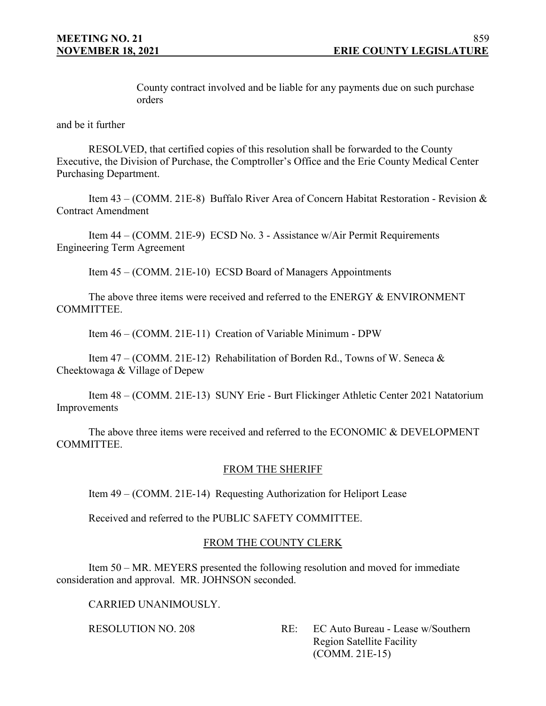County contract involved and be liable for any payments due on such purchase orders

and be it further

RESOLVED, that certified copies of this resolution shall be forwarded to the County Executive, the Division of Purchase, the Comptroller's Office and the Erie County Medical Center Purchasing Department.

Item 43 – (COMM. 21E-8) Buffalo River Area of Concern Habitat Restoration - Revision & Contract Amendment

Item 44 – (COMM. 21E-9) ECSD No. 3 - Assistance w/Air Permit Requirements Engineering Term Agreement

Item 45 – (COMM. 21E-10) ECSD Board of Managers Appointments

The above three items were received and referred to the ENERGY & ENVIRONMENT COMMITTEE.

Item 46 – (COMM. 21E-11) Creation of Variable Minimum - DPW

Item 47 – (COMM. 21E-12) Rehabilitation of Borden Rd., Towns of W. Seneca & Cheektowaga & Village of Depew

Item 48 – (COMM. 21E-13) SUNY Erie - Burt Flickinger Athletic Center 2021 Natatorium Improvements

The above three items were received and referred to the ECONOMIC & DEVELOPMENT COMMITTEE.

## FROM THE SHERIFF

Item 49 – (COMM. 21E-14) Requesting Authorization for Heliport Lease

Received and referred to the PUBLIC SAFETY COMMITTEE.

## FROM THE COUNTY CLERK

Item 50 – MR. MEYERS presented the following resolution and moved for immediate consideration and approval. MR. JOHNSON seconded.

CARRIED UNANIMOUSLY.

RESOLUTION NO. 208 RE: EC Auto Bureau - Lease w/Southern Region Satellite Facility (COMM. 21E-15)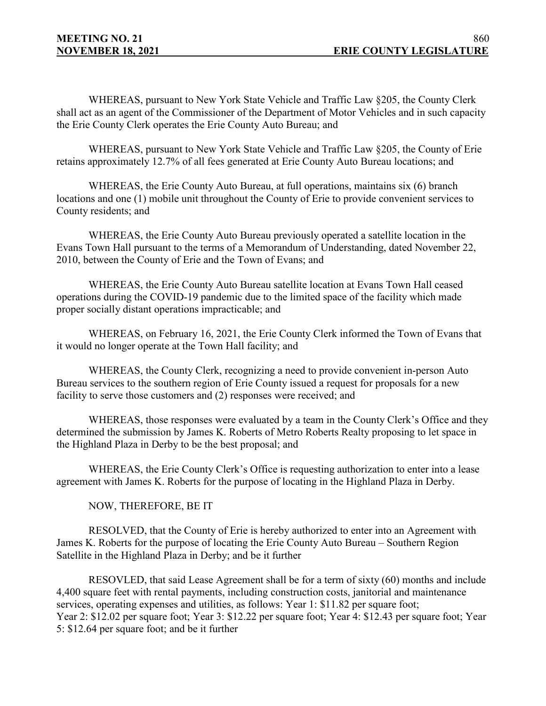WHEREAS, pursuant to New York State Vehicle and Traffic Law §205, the County Clerk shall act as an agent of the Commissioner of the Department of Motor Vehicles and in such capacity the Erie County Clerk operates the Erie County Auto Bureau; and

WHEREAS, pursuant to New York State Vehicle and Traffic Law §205, the County of Erie retains approximately 12.7% of all fees generated at Erie County Auto Bureau locations; and

WHEREAS, the Erie County Auto Bureau, at full operations, maintains six (6) branch locations and one (1) mobile unit throughout the County of Erie to provide convenient services to County residents; and

WHEREAS, the Erie County Auto Bureau previously operated a satellite location in the Evans Town Hall pursuant to the terms of a Memorandum of Understanding, dated November 22, 2010, between the County of Erie and the Town of Evans; and

WHEREAS, the Erie County Auto Bureau satellite location at Evans Town Hall ceased operations during the COVID-19 pandemic due to the limited space of the facility which made proper socially distant operations impracticable; and

WHEREAS, on February 16, 2021, the Erie County Clerk informed the Town of Evans that it would no longer operate at the Town Hall facility; and

WHEREAS, the County Clerk, recognizing a need to provide convenient in-person Auto Bureau services to the southern region of Erie County issued a request for proposals for a new facility to serve those customers and (2) responses were received; and

WHEREAS, those responses were evaluated by a team in the County Clerk's Office and they determined the submission by James K. Roberts of Metro Roberts Realty proposing to let space in the Highland Plaza in Derby to be the best proposal; and

WHEREAS, the Erie County Clerk's Office is requesting authorization to enter into a lease agreement with James K. Roberts for the purpose of locating in the Highland Plaza in Derby.

NOW, THEREFORE, BE IT

RESOLVED, that the County of Erie is hereby authorized to enter into an Agreement with James K. Roberts for the purpose of locating the Erie County Auto Bureau – Southern Region Satellite in the Highland Plaza in Derby; and be it further

RESOVLED, that said Lease Agreement shall be for a term of sixty (60) months and include 4,400 square feet with rental payments, including construction costs, janitorial and maintenance services, operating expenses and utilities, as follows: Year 1: \$11.82 per square foot; Year 2: \$12.02 per square foot; Year 3: \$12.22 per square foot; Year 4: \$12.43 per square foot; Year 5: \$12.64 per square foot; and be it further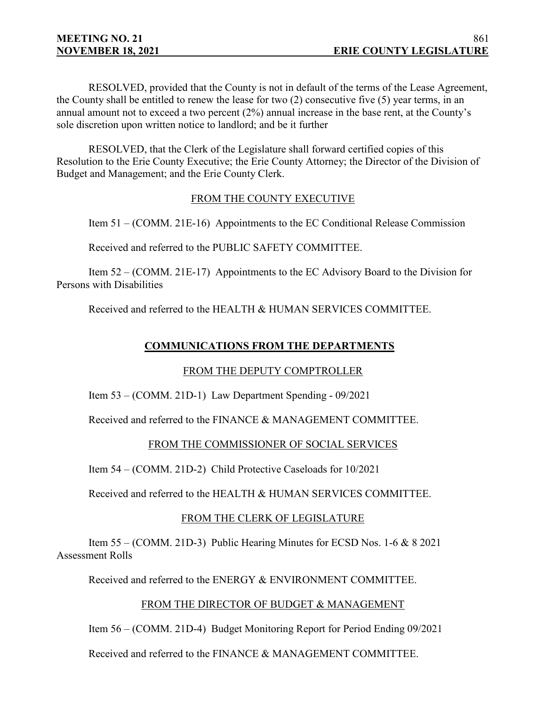RESOLVED, provided that the County is not in default of the terms of the Lease Agreement, the County shall be entitled to renew the lease for two (2) consecutive five (5) year terms, in an annual amount not to exceed a two percent (2%) annual increase in the base rent, at the County's sole discretion upon written notice to landlord; and be it further

RESOLVED, that the Clerk of the Legislature shall forward certified copies of this Resolution to the Erie County Executive; the Erie County Attorney; the Director of the Division of Budget and Management; and the Erie County Clerk.

# FROM THE COUNTY EXECUTIVE

Item 51 – (COMM. 21E-16) Appointments to the EC Conditional Release Commission

Received and referred to the PUBLIC SAFETY COMMITTEE.

Item 52 – (COMM. 21E-17) Appointments to the EC Advisory Board to the Division for Persons with Disabilities

Received and referred to the HEALTH & HUMAN SERVICES COMMITTEE.

# **COMMUNICATIONS FROM THE DEPARTMENTS**

# FROM THE DEPUTY COMPTROLLER

Item 53 – (COMM. 21D-1) Law Department Spending - 09/2021

Received and referred to the FINANCE & MANAGEMENT COMMITTEE.

## FROM THE COMMISSIONER OF SOCIAL SERVICES

Item 54 – (COMM. 21D-2) Child Protective Caseloads for 10/2021

Received and referred to the HEALTH & HUMAN SERVICES COMMITTEE.

# FROM THE CLERK OF LEGISLATURE

Item 55 – (COMM. 21D-3) Public Hearing Minutes for ECSD Nos. 1-6 & 8 2021 Assessment Rolls

Received and referred to the ENERGY & ENVIRONMENT COMMITTEE.

# FROM THE DIRECTOR OF BUDGET & MANAGEMENT

Item 56 – (COMM. 21D-4) Budget Monitoring Report for Period Ending 09/2021

Received and referred to the FINANCE & MANAGEMENT COMMITTEE.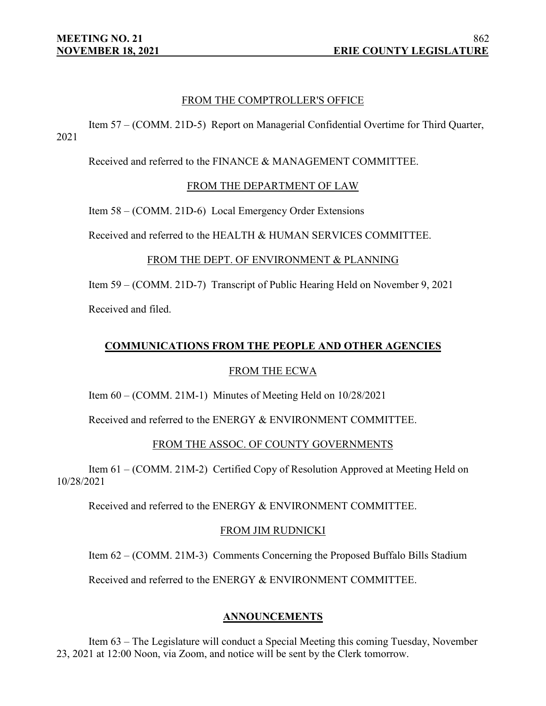#### FROM THE COMPTROLLER'S OFFICE

Item 57 – (COMM. 21D-5) Report on Managerial Confidential Overtime for Third Quarter, 2021

Received and referred to the FINANCE & MANAGEMENT COMMITTEE.

#### FROM THE DEPARTMENT OF LAW

Item 58 – (COMM. 21D-6) Local Emergency Order Extensions

Received and referred to the HEALTH & HUMAN SERVICES COMMITTEE.

#### FROM THE DEPT. OF ENVIRONMENT & PLANNING

Item 59 – (COMM. 21D-7) Transcript of Public Hearing Held on November 9, 2021 Received and filed.

#### **COMMUNICATIONS FROM THE PEOPLE AND OTHER AGENCIES**

#### FROM THE ECWA

Item 60 – (COMM. 21M-1) Minutes of Meeting Held on 10/28/2021

Received and referred to the ENERGY & ENVIRONMENT COMMITTEE.

#### FROM THE ASSOC. OF COUNTY GOVERNMENTS

Item 61 – (COMM. 21M-2) Certified Copy of Resolution Approved at Meeting Held on 10/28/2021

Received and referred to the ENERGY & ENVIRONMENT COMMITTEE.

#### FROM JIM RUDNICKI

Item 62 – (COMM. 21M-3) Comments Concerning the Proposed Buffalo Bills Stadium

Received and referred to the ENERGY & ENVIRONMENT COMMITTEE.

#### **ANNOUNCEMENTS**

Item 63 – The Legislature will conduct a Special Meeting this coming Tuesday, November 23, 2021 at 12:00 Noon, via Zoom, and notice will be sent by the Clerk tomorrow.